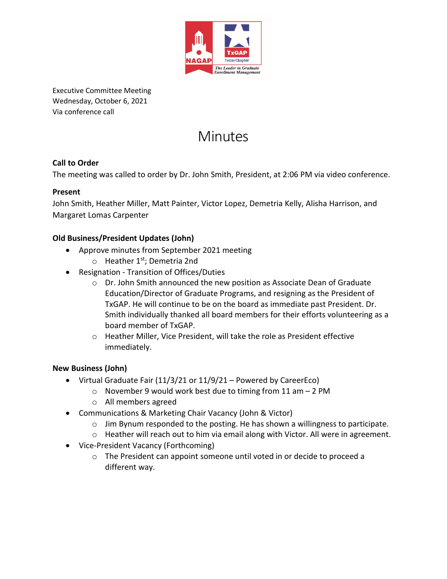

Executive Committee Meeting Wednesday, October 6, 2021 Via conference call

# **Minutes**

# **Call to Order**

The meeting was called to order by Dr. John Smith, President, at 2:06 PM via video conference.

#### **Present**

John Smith, Heather Miller, Matt Painter, Victor Lopez, Demetria Kelly, Alisha Harrison, and Margaret Lomas Carpenter

### **Old Business/President Updates (John)**

- Approve minutes from September 2021 meeting
	- o Heather 1<sup>st</sup>; Demetria 2nd
- Resignation Transition of Offices/Duties
	- o Dr. John Smith announced the new position as Associate Dean of Graduate Education/Director of Graduate Programs, and resigning as the President of TxGAP. He will continue to be on the board as immediate past President. Dr. Smith individually thanked all board members for their efforts volunteering as a board member of TxGAP.
	- o Heather Miller, Vice President, will take the role as President effective immediately.

#### **New Business (John)**

- Virtual Graduate Fair (11/3/21 or 11/9/21 Powered by CareerEco)
	- $\circ$  November 9 would work best due to timing from 11 am  $-2$  PM
	- o All members agreed
- Communications & Marketing Chair Vacancy (John & Victor)
	- $\circ$  Jim Bynum responded to the posting. He has shown a willingness to participate.
	- o Heather will reach out to him via email along with Victor. All were in agreement.
- Vice-President Vacancy (Forthcoming)
	- o The President can appoint someone until voted in or decide to proceed a different way.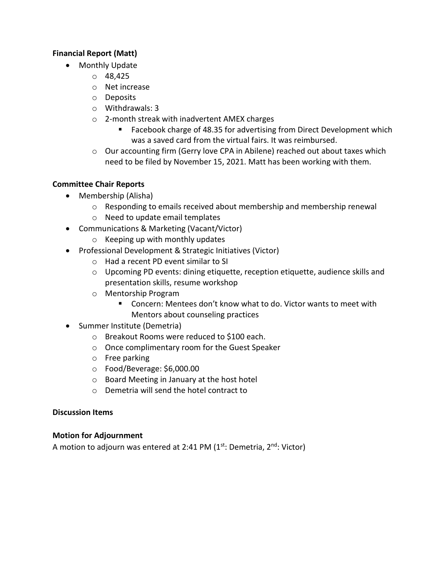#### **Financial Report (Matt)**

- Monthly Update
	- o 48,425
	- o Net increase
	- o Deposits
	- o Withdrawals: 3
	- o 2-month streak with inadvertent AMEX charges
		- Facebook charge of 48.35 for advertising from Direct Development which was a saved card from the virtual fairs. It was reimbursed.
	- $\circ$  Our accounting firm (Gerry love CPA in Abilene) reached out about taxes which need to be filed by November 15, 2021. Matt has been working with them.

#### **Committee Chair Reports**

- Membership (Alisha)
	- $\circ$  Responding to emails received about membership and membership renewal
	- o Need to update email templates
- Communications & Marketing (Vacant/Victor)
	- o Keeping up with monthly updates
- Professional Development & Strategic Initiatives (Victor)
	- o Had a recent PD event similar to SI
	- $\circ$  Upcoming PD events: dining etiquette, reception etiquette, audience skills and presentation skills, resume workshop
	- o Mentorship Program
		- Concern: Mentees don't know what to do. Victor wants to meet with Mentors about counseling practices
- Summer Institute (Demetria)
	- o Breakout Rooms were reduced to \$100 each.
	- o Once complimentary room for the Guest Speaker
	- o Free parking
	- o Food/Beverage: \$6,000.00
	- o Board Meeting in January at the host hotel
	- o Demetria will send the hotel contract to

#### **Discussion Items**

#### **Motion for Adjournment**

A motion to adjourn was entered at 2:41 PM  $(1<sup>st</sup>:$  Demetria,  $2<sup>nd</sup>:$  Victor)